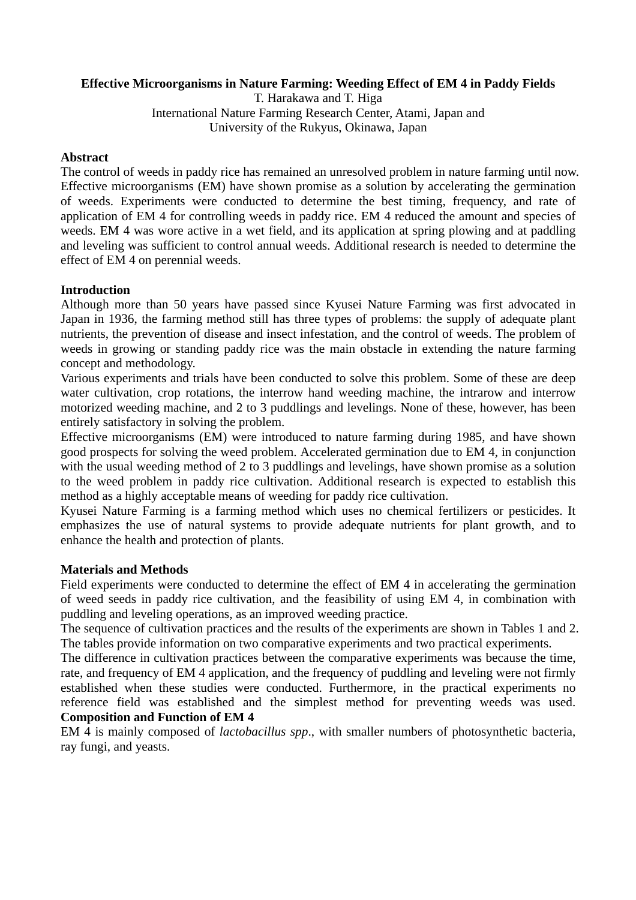## **Effective Microorganisms in Nature Farming: Weeding Effect of EM 4 in Paddy Fields**

T. Harakawa and T. Higa International Nature Farming Research Center, Atami, Japan and University of the Rukyus, Okinawa, Japan

## **Abstract**

The control of weeds in paddy rice has remained an unresolved problem in nature farming until now. Effective microorganisms (EM) have shown promise as a solution by accelerating the germination of weeds. Experiments were conducted to determine the best timing, frequency, and rate of application of EM 4 for controlling weeds in paddy rice. EM 4 reduced the amount and species of weeds. EM 4 was wore active in a wet field, and its application at spring plowing and at paddling and leveling was sufficient to control annual weeds. Additional research is needed to determine the effect of EM 4 on perennial weeds.

## **Introduction**

Although more than 50 years have passed since Kyusei Nature Farming was first advocated in Japan in 1936, the farming method still has three types of problems: the supply of adequate plant nutrients, the prevention of disease and insect infestation, and the control of weeds. The problem of weeds in growing or standing paddy rice was the main obstacle in extending the nature farming concept and methodology.

Various experiments and trials have been conducted to solve this problem. Some of these are deep water cultivation, crop rotations, the interrow hand weeding machine, the intrarow and interrow motorized weeding machine, and 2 to 3 puddlings and levelings. None of these, however, has been entirely satisfactory in solving the problem.

Effective microorganisms (EM) were introduced to nature farming during 1985, and have shown good prospects for solving the weed problem. Accelerated germination due to EM 4, in conjunction with the usual weeding method of 2 to 3 puddlings and levelings, have shown promise as a solution to the weed problem in paddy rice cultivation. Additional research is expected to establish this method as a highly acceptable means of weeding for paddy rice cultivation.

Kyusei Nature Farming is a farming method which uses no chemical fertilizers or pesticides. It emphasizes the use of natural systems to provide adequate nutrients for plant growth, and to enhance the health and protection of plants.

# **Materials and Methods**

Field experiments were conducted to determine the effect of EM 4 in accelerating the germination of weed seeds in paddy rice cultivation, and the feasibility of using EM 4, in combination with puddling and leveling operations, as an improved weeding practice.

The sequence of cultivation practices and the results of the experiments are shown in Tables 1 and 2. The tables provide information on two comparative experiments and two practical experiments.

The difference in cultivation practices between the comparative experiments was because the time, rate, and frequency of EM 4 application, and the frequency of puddling and leveling were not firmly established when these studies were conducted. Furthermore, in the practical experiments no reference field was established and the simplest method for preventing weeds was used. **Composition and Function of EM 4**

EM 4 is mainly composed of *lactobacillus spp*., with smaller numbers of photosynthetic bacteria, ray fungi, and yeasts.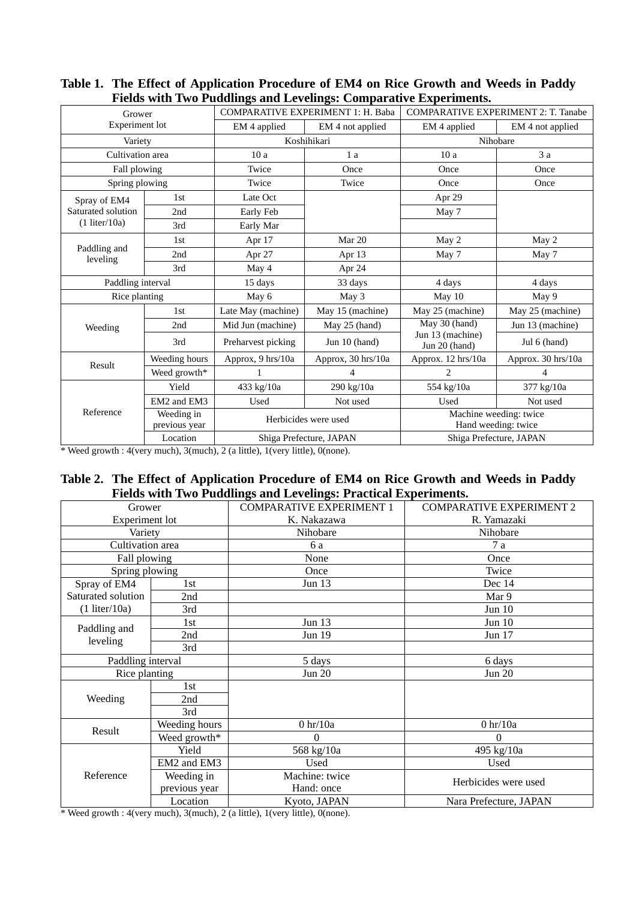| Picius with Two I dudinigs and Levenngs. Comparative Experiments. |                             |                                          |                    |                                               |                    |  |  |  |
|-------------------------------------------------------------------|-----------------------------|------------------------------------------|--------------------|-----------------------------------------------|--------------------|--|--|--|
| Grower                                                            |                             | <b>COMPARATIVE EXPERIMENT 1: H. Baba</b> |                    | <b>COMPARATIVE EXPERIMENT 2: T. Tanabe</b>    |                    |  |  |  |
| Experiment lot                                                    |                             | EM 4 applied                             | EM 4 not applied   | EM 4 applied                                  | EM 4 not applied   |  |  |  |
| Variety                                                           |                             | Koshihikari                              |                    | Nihobare                                      |                    |  |  |  |
| Cultivation area                                                  |                             | 10a                                      | 1a                 | 10a                                           | $3\ a$             |  |  |  |
| Fall plowing                                                      |                             | Twice                                    | Once               | Once                                          | Once               |  |  |  |
| Spring plowing                                                    |                             | Twice                                    | Twice              | Once                                          | Once               |  |  |  |
| Spray of EM4<br>Saturated solution<br>$(1$ liter/10a)             | 1st                         | Late Oct                                 |                    | Apr 29                                        |                    |  |  |  |
|                                                                   | 2nd                         | Early Feb                                |                    | May 7                                         |                    |  |  |  |
|                                                                   | 3rd                         | Early Mar                                |                    |                                               |                    |  |  |  |
| Paddling and<br>leveling                                          | 1 <sub>st</sub>             | Apr 17                                   | Mar 20             | May 2                                         | May 2              |  |  |  |
|                                                                   | 2nd                         | Apr 27                                   | Apr $13$           | May 7                                         | May 7              |  |  |  |
|                                                                   | 3rd                         | May 4                                    | Apr 24             |                                               |                    |  |  |  |
| Paddling interval                                                 |                             | 15 days                                  | 33 days            | 4 days                                        | 4 days             |  |  |  |
| Rice planting                                                     |                             | May 6                                    | May 3              | May 10                                        | May 9              |  |  |  |
| Weeding                                                           | 1 <sub>st</sub>             | Late May (machine)                       | May 15 (machine)   | May 25 (machine)                              | May 25 (machine)   |  |  |  |
|                                                                   | 2nd                         | Mid Jun (machine)                        | May 25 (hand)      | May 30 (hand)                                 | Jun 13 (machine)   |  |  |  |
|                                                                   | 3rd                         | Preharvest picking                       | Jun $10$ (hand)    | Jun 13 (machine)<br>Jun 20 (hand)             | Jul 6 (hand)       |  |  |  |
| Result                                                            | Weeding hours               | Approx, 9 hrs/10a                        | Approx, 30 hrs/10a | Approx. 12 hrs/10a                            | Approx. 30 hrs/10a |  |  |  |
|                                                                   | Weed growth*                |                                          | 4                  | $\mathfrak{D}$                                | 4                  |  |  |  |
| Reference                                                         | Yield                       | 433 kg/10a                               | 290 kg/10a         | 554 kg/10a                                    | 377 kg/10a         |  |  |  |
|                                                                   | EM2 and EM3                 | Used                                     | Not used           | Used                                          | Not used           |  |  |  |
|                                                                   | Weeding in<br>previous year | Herbicides were used                     |                    | Machine weeding: twice<br>Hand weeding: twice |                    |  |  |  |
|                                                                   | Location                    | Shiga Prefecture, JAPAN                  |                    | Shiga Prefecture, JAPAN                       |                    |  |  |  |

# **Table 1. The Effect of Application Procedure of EM4 on Rice Growth and Weeds in Paddy Fields with Two Puddlings and Levelings: Comparative Experiments.**

\* Weed growth : 4(very much), 3(much), 2 (a little), 1(very little), 0(none).

# **Table 2. The Effect of Application Procedure of EM4 on Rice Growth and Weeds in Paddy Fields with Two Puddlings and Levelings: Practical Experiments.**

| Grower                                              |               | <b>COMPARATIVE EXPERIMENT 1</b> | <b>COMPARATIVE EXPERIMENT 2</b> |  |
|-----------------------------------------------------|---------------|---------------------------------|---------------------------------|--|
| Experiment lot                                      |               | K. Nakazawa                     | R. Yamazaki                     |  |
| Variety                                             |               | Nihobare                        | Nihobare                        |  |
| Cultivation area                                    |               | 6 a                             | 7a                              |  |
| Fall plowing                                        |               | None                            | Once                            |  |
| Spring plowing                                      |               | Once                            | Twice                           |  |
| Spray of EM4                                        | 1st           | Jun $13$                        | Dec 14                          |  |
| Saturated solution<br>2nd<br>$(1$ liter/10a)<br>3rd |               |                                 | Mar 9                           |  |
|                                                     |               |                                 | Jun $10$                        |  |
| Paddling and<br>leveling                            | 1st           | <b>Jun 13</b>                   | <b>Jun 10</b>                   |  |
|                                                     | 2nd           | Jun 19                          | Jun 17                          |  |
|                                                     | 3rd           |                                 |                                 |  |
| Paddling interval                                   |               | 5 days                          | 6 days                          |  |
| Rice planting                                       |               | <b>Jun 20</b>                   | <b>Jun 20</b>                   |  |
| Weeding                                             | 1st           |                                 |                                 |  |
|                                                     | 2nd           |                                 |                                 |  |
|                                                     | 3rd           |                                 |                                 |  |
| Result                                              | Weeding hours | $0$ hr/ $10a$                   | $0$ hr/ $10a$                   |  |
|                                                     | Weed growth*  | 0                               | $\theta$                        |  |
| Reference                                           | Yield         | 568 kg/10a                      | 495 kg/10a                      |  |
|                                                     | EM2 and EM3   | Used                            | Used                            |  |
|                                                     | Weeding in    | Machine: twice                  | Herbicides were used            |  |
|                                                     | previous year | Hand: once                      |                                 |  |
|                                                     | Location      | Kyoto, JAPAN                    | Nara Prefecture, JAPAN          |  |

\* Weed growth : 4(very much), 3(much), 2 (a little), 1(very little), 0(none).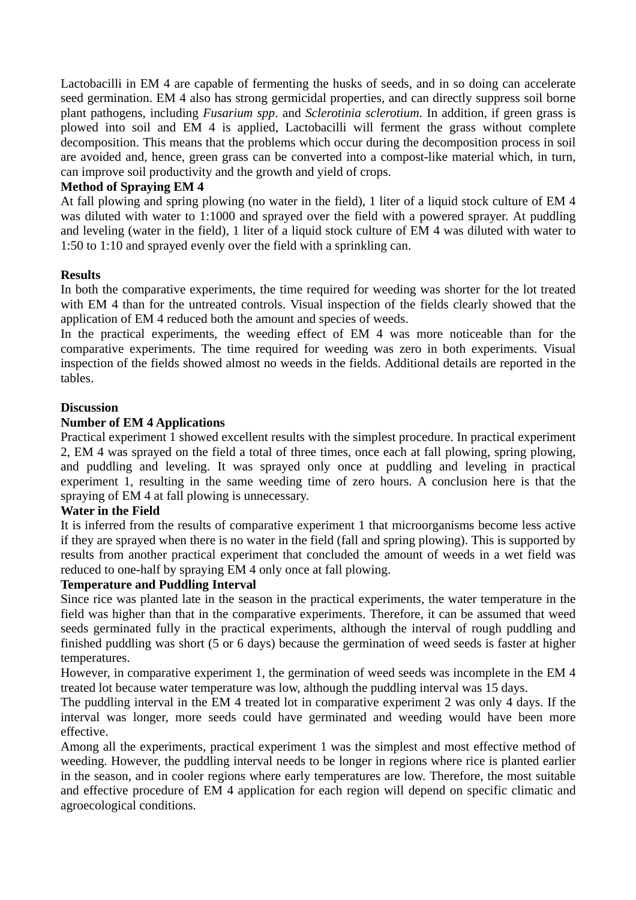Lactobacilli in EM 4 are capable of fermenting the husks of seeds, and in so doing can accelerate seed germination. EM 4 also has strong germicidal properties, and can directly suppress soil borne plant pathogens, including *Fusarium spp*. and *Sclerotinia sclerotium*. In addition, if green grass is plowed into soil and EM 4 is applied, Lactobacilli will ferment the grass without complete decomposition. This means that the problems which occur during the decomposition process in soil are avoided and, hence, green grass can be converted into a compost-like material which, in turn, can improve soil productivity and the growth and yield of crops.

#### **Method of Spraying EM 4**

At fall plowing and spring plowing (no water in the field), 1 liter of a liquid stock culture of EM 4 was diluted with water to 1:1000 and sprayed over the field with a powered sprayer. At puddling and leveling (water in the field), 1 liter of a liquid stock culture of EM 4 was diluted with water to 1:50 to 1:10 and sprayed evenly over the field with a sprinkling can.

#### **Results**

In both the comparative experiments, the time required for weeding was shorter for the lot treated with EM 4 than for the untreated controls. Visual inspection of the fields clearly showed that the application of EM 4 reduced both the amount and species of weeds.

In the practical experiments, the weeding effect of EM 4 was more noticeable than for the comparative experiments. The time required for weeding was zero in both experiments. Visual inspection of the fields showed almost no weeds in the fields. Additional details are reported in the tables.

#### **Discussion**

## **Number of EM 4 Applications**

Practical experiment 1 showed excellent results with the simplest procedure. In practical experiment 2, EM 4 was sprayed on the field a total of three times, once each at fall plowing, spring plowing, and puddling and leveling. It was sprayed only once at puddling and leveling in practical experiment 1, resulting in the same weeding time of zero hours. A conclusion here is that the spraying of EM 4 at fall plowing is unnecessary.

#### **Water in the Field**

It is inferred from the results of comparative experiment 1 that microorganisms become less active if they are sprayed when there is no water in the field (fall and spring plowing). This is supported by results from another practical experiment that concluded the amount of weeds in a wet field was reduced to one-half by spraying EM 4 only once at fall plowing.

#### **Temperature and Puddling Interval**

Since rice was planted late in the season in the practical experiments, the water temperature in the field was higher than that in the comparative experiments. Therefore, it can be assumed that weed seeds germinated fully in the practical experiments, although the interval of rough puddling and finished puddling was short (5 or 6 days) because the germination of weed seeds is faster at higher temperatures.

However, in comparative experiment 1, the germination of weed seeds was incomplete in the EM 4 treated lot because water temperature was low, although the puddling interval was 15 days.

The puddling interval in the EM 4 treated lot in comparative experiment 2 was only 4 days. If the interval was longer, more seeds could have germinated and weeding would have been more effective.

Among all the experiments, practical experiment 1 was the simplest and most effective method of weeding. However, the puddling interval needs to be longer in regions where rice is planted earlier in the season, and in cooler regions where early temperatures are low. Therefore, the most suitable and effective procedure of EM 4 application for each region will depend on specific climatic and agroecological conditions.